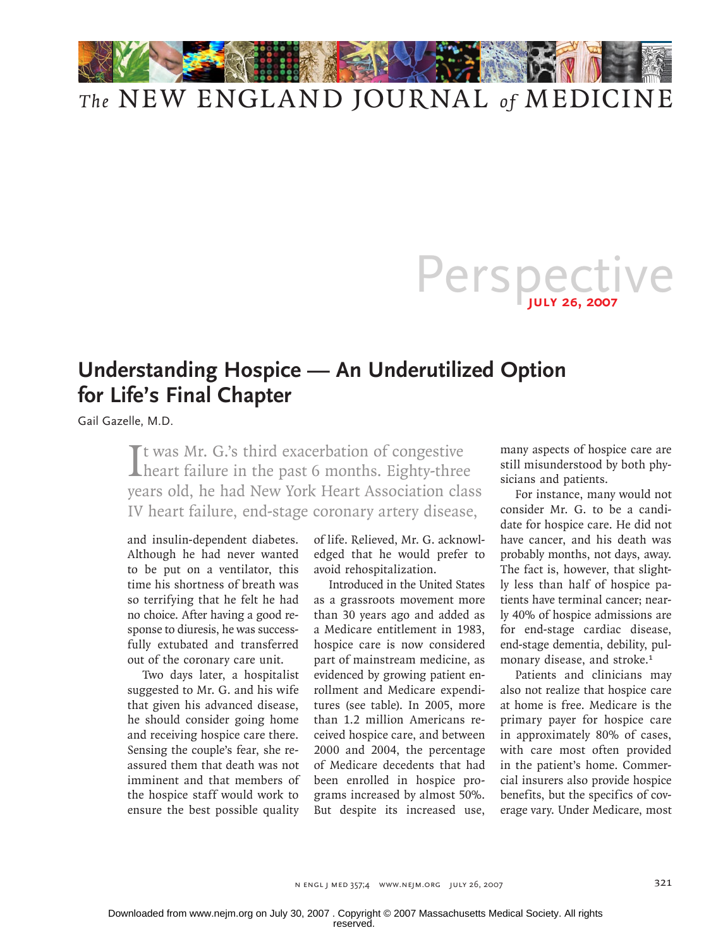

# Perspective

## **Understanding Hospice — An Underutilized Option for Life's Final Chapter**

Gail Gazelle, M.D.

It was Mr. G.'s third exacerbation of congestive<br>heart failure in the past 6 months. Eighty-three **T**t was Mr. G.'s third exacerbation of congestive years old, he had New York Heart Association class IV heart failure, end-stage coronary artery disease,

and insulin-dependent diabetes. Although he had never wanted to be put on a ventilator, this time his shortness of breath was so terrifying that he felt he had no choice. After having a good response to diuresis, he was successfully extubated and transferred out of the coronary care unit.

Two days later, a hospitalist suggested to Mr. G. and his wife that given his advanced disease, he should consider going home and receiving hospice care there. Sensing the couple's fear, she reassured them that death was not imminent and that members of the hospice staff would work to ensure the best possible quality of life. Relieved, Mr. G. acknowledged that he would prefer to avoid rehospitalization.

Introduced in the United States as a grassroots movement more than 30 years ago and added as a Medicare entitlement in 1983, hospice care is now considered part of mainstream medicine, as evidenced by growing patient enrollment and Medicare expenditures (see table). In 2005, more than 1.2 million Americans received hospice care, and between 2000 and 2004, the percentage of Medicare decedents that had been enrolled in hospice programs increased by almost 50%. But despite its increased use,

many aspects of hospice care are still misunderstood by both physicians and patients.

For instance, many would not consider Mr. G. to be a candidate for hospice care. He did not have cancer, and his death was probably months, not days, away. The fact is, however, that slightly less than half of hospice patients have terminal cancer; nearly 40% of hospice admissions are for end-stage cardiac disease, end-stage dementia, debility, pulmonary disease, and stroke.<sup>1</sup>

Patients and clinicians may also not realize that hospice care at home is free. Medicare is the primary payer for hospice care in approximately 80% of cases, with care most often provided in the patient's home. Commercial insurers also provide hospice benefits, but the specifics of coverage vary. Under Medicare, most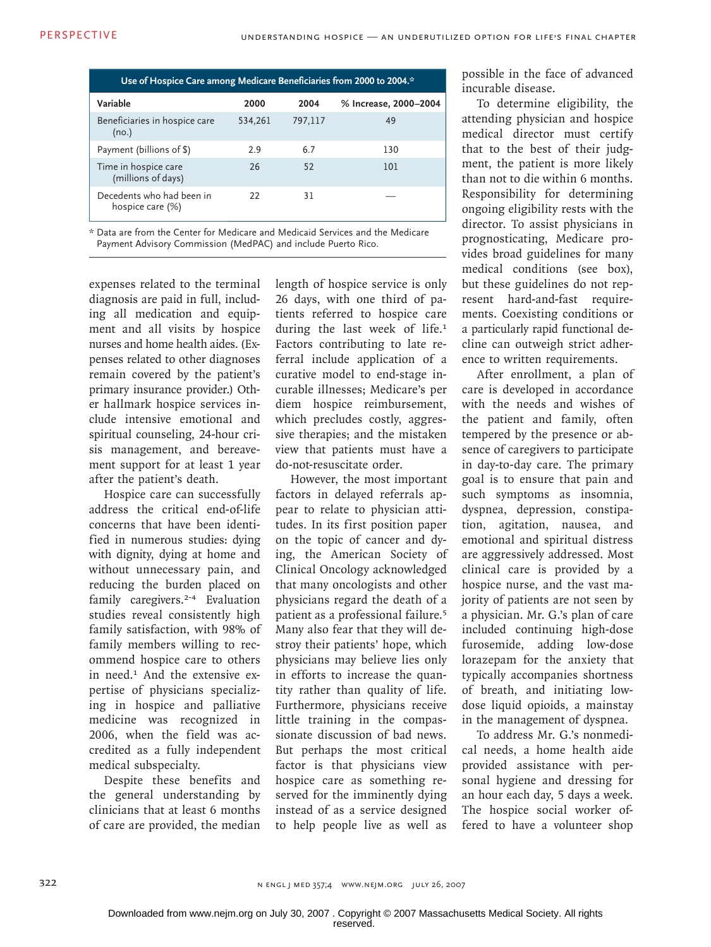| Use of Hospice Care among Medicare Beneficiaries from 2000 to 2004.* |         |         |                       |
|----------------------------------------------------------------------|---------|---------|-----------------------|
| Variable                                                             | 2000    | 2004    | % Increase, 2000-2004 |
| Beneficiaries in hospice care<br>(no.)                               | 534,261 | 797,117 | 49                    |
| Payment (billions of \$)                                             | 2.9     | 6.7     | 130                   |
| Time in hospice care<br>(millions of days)                           | 26      | 52      | 101                   |
| Decedents who had been in<br>hospice care (%)                        | 22      | 31      |                       |

\* Data are from the Center for Medicare and Medicaid Services and the Medicare Payment Advisory Commission (MedPAC) and include Puerto Rico.

expenses related to the terminal diagnosis are paid in full, including all medication and equipment and all visits by hospice nurses and home health aides. (Expenses related to other diagnoses remain covered by the patient's primary insurance provider.) Other hallmark hospice services include intensive emotional and spiritual counseling, 24-hour crisis management, and bereavement support for at least 1 year after the patient's death.

Hospice care can successfully address the critical end-of-life concerns that have been identified in numerous studies: dying with dignity, dying at home and without unnecessary pain, and reducing the burden placed on family caregivers.<sup>2-4</sup> Evaluation studies reveal consistently high family satisfaction, with 98% of family members willing to recommend hospice care to others in need.<sup>1</sup> And the extensive expertise of physicians specializing in hospice and palliative medicine was recognized in 2006, when the field was accredited as a fully independent medical subspecialty.

Despite these benefits and the general understanding by clinicians that at least 6 months of care are provided, the median

length of hospice service is only 26 days, with one third of patients referred to hospice care during the last week of life.<sup>1</sup> Factors contributing to late referral include application of a curative model to end-stage incurable illnesses; Medicare's per diem hospice reimbursement, which precludes costly, aggressive therapies; and the mistaken view that patients must have a do-not-resuscitate order.

However, the most important factors in delayed referrals appear to relate to physician attitudes. In its first position paper on the topic of cancer and dying, the American Society of Clinical Oncology acknowledged that many oncologists and other physicians regard the death of a patient as a professional failure.<sup>5</sup> Many also fear that they will destroy their patients' hope, which physicians may believe lies only in efforts to increase the quantity rather than quality of life. Furthermore, physicians receive little training in the compassionate discussion of bad news. But perhaps the most critical factor is that physicians view hospice care as something reserved for the imminently dying instead of as a service designed to help people live as well as

possible in the face of advanced incurable disease.

To determine eligibility, the attending physician and hospice medical director must certify that to the best of their judgment, the patient is more likely than not to die within 6 months. Responsibility for determining ongoing eligibility rests with the director. To assist physicians in prognosticating, Medicare provides broad guidelines for many medical conditions (see box), but these guidelines do not represent hard-and-fast requirements. Coexisting conditions or a particularly rapid functional decline can outweigh strict adherence to written requirements.

After enrollment, a plan of care is developed in accordance with the needs and wishes of the patient and family, often tempered by the presence or absence of caregivers to participate in day-to-day care. The primary goal is to ensure that pain and such symptoms as insomnia, dyspnea, depression, constipation, agitation, nausea, and emotional and spiritual distress are aggressively addressed. Most clinical care is provided by a hospice nurse, and the vast majority of patients are not seen by a physician. Mr. G.'s plan of care included continuing high-dose furosemide, adding low-dose lorazepam for the anxiety that typically accompanies shortness of breath, and initiating lowdose liquid opioids, a mainstay in the management of dyspnea.

To address Mr. G.'s nonmedical needs, a home health aide provided assistance with personal hygiene and dressing for an hour each day, 5 days a week. The hospice social worker offered to have a volunteer shop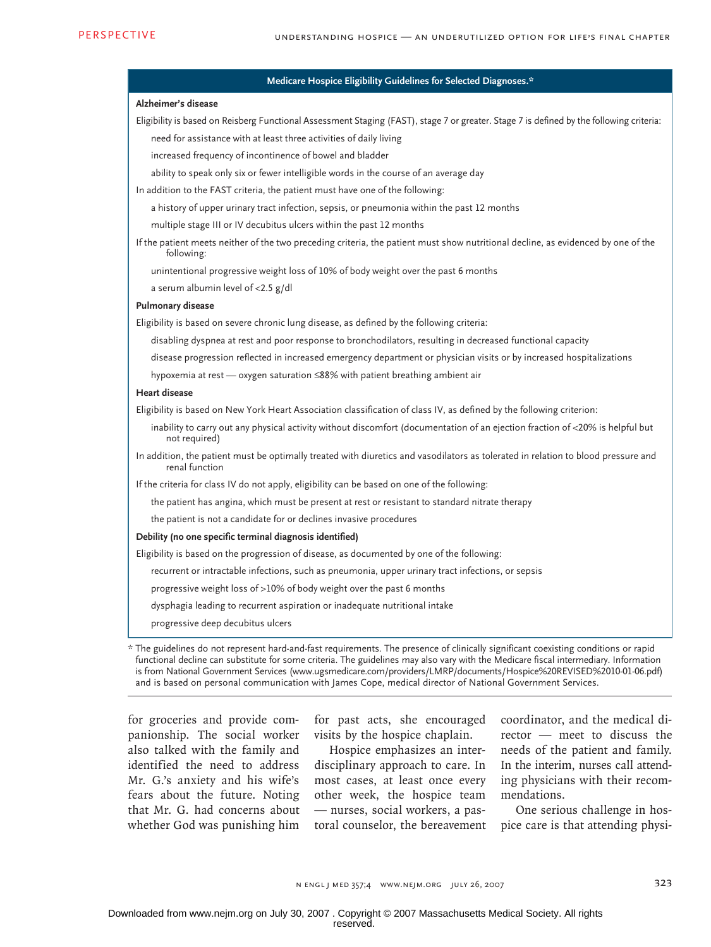### **Medicare Hospice Eligibility Guidelines for Selected Diagnoses.\***

#### **Alzheimer's disease**

Eligibility is based on Reisberg Functional Assessment Staging (FAST), stage 7 or greater. Stage 7 is defined by the following criteria:

need for assistance with at least three activities of daily living

increased frequency of incontinence of bowel and bladder

- ability to speak only six or fewer intelligible words in the course of an average day
- In addition to the FAST criteria, the patient must have one of the following:

a history of upper urinary tract infection, sepsis, or pneumonia within the past 12 months

multiple stage III or IV decubitus ulcers within the past 12 months

If the patient meets neither of the two preceding criteria, the patient must show nutritional decline, as evidenced by one of the following:

unintentional progressive weight loss of 10% of body weight over the past 6 months

a serum albumin level of <2.5 g/dl

#### **Pulmonary disease**

Eligibility is based on severe chronic lung disease, as defined by the following criteria:

disabling dyspnea at rest and poor response to bronchodilators, resulting in decreased functional capacity

disease progression reflected in increased emergency department or physician visits or by increased hospitalizations

hypoxemia at rest — oxygen saturation ≤88% with patient breathing ambient air

#### **Heart disease**

Eligibility is based on New York Heart Association classification of class IV, as defined by the following criterion:

- inability to carry out any physical activity without discomfort (documentation of an ejection fraction of <20% is helpful but not required)
- In addition, the patient must be optimally treated with diuretics and vasodilators as tolerated in relation to blood pressure and renal function

If the criteria for class IV do not apply, eligibility can be based on one of the following:

the patient has angina, which must be present at rest or resistant to standard nitrate therapy

the patient is not a candidate for or declines invasive procedures

#### **Debility (no one specific terminal diagnosis identified)**

Eligibility is based on the progression of disease, as documented by one of the following:

recurrent or intractable infections, such as pneumonia, upper urinary tract infections, or sepsis

progressive weight loss of >10% of body weight over the past 6 months

dysphagia leading to recurrent aspiration or inadequate nutritional intake

progressive deep decubitus ulcers

\* The guidelines do not represent hard-and-fast requirements. The presence of clinically significant coexisting conditions or rapid functional decline can substitute for some criteria. The guidelines may also vary with the Medicare fiscal intermediary. Information is from National Government Services (www.ugsmedicare.com/providers/LMRP/documents/Hospice%20REVISED%2010-01-06.pdf) and is based on personal communication with James Cope, medical director of National Government Services.

for groceries and provide companionship. The social worker also talked with the family and identified the need to address Mr. G.'s anxiety and his wife's fears about the future. Noting that Mr. G. had concerns about whether God was punishing him

for past acts, she encouraged visits by the hospice chaplain.

Hospice emphasizes an interdisciplinary approach to care. In most cases, at least once every other week, the hospice team — nurses, social workers, a pascoordinator, and the medical director — meet to discuss the needs of the patient and family. In the interim, nurses call attending physicians with their recommendations.

toral counselor, the bereavement pice care is that attending physi-One serious challenge in hos